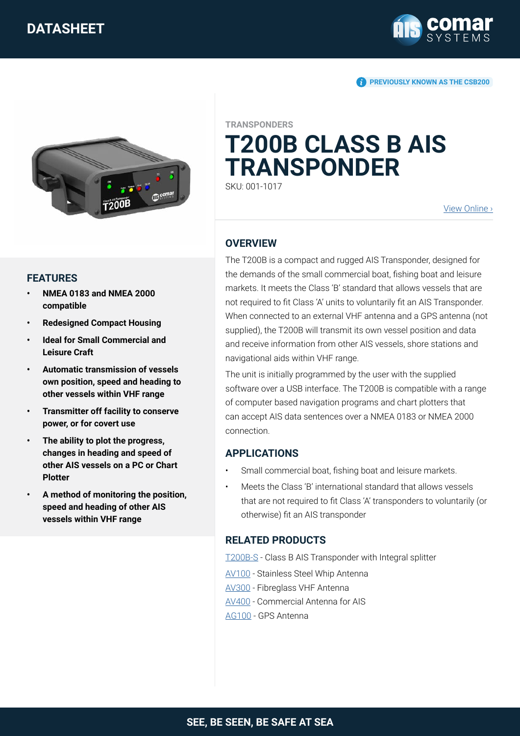

**PREVIOUSLY KNOWN AS THE CSB200** 



#### **FEATURES**

- **• NMEA 0183 and NMEA 2000 compatible**
- **• Redesigned Compact Housing**
- **• Ideal for Small Commercial and Leisure Craft**
- **• Automatic transmission of vessels own position, speed and heading to other vessels within VHF range**
- **• Transmitter off facility to conserve power, or for covert use**
- **• The ability to plot the progress, changes in heading and speed of other AIS vessels on a PC or Chart Plotter**
- **• A method of monitoring the position, speed and heading of other AIS vessels within VHF range**

**TRANSPONDERS**

# **T200B CLASS B AIS TRANSPONDER**

SKU: 001-1017

[View Online](https://comarsystems.com/product/t200b-ais-transponder-class-b/) ›

#### **OVERVIEW**

The T200B is a compact and rugged AIS Transponder, designed for the demands of the small commercial boat, fishing boat and leisure markets. It meets the Class 'B' standard that allows vessels that are not required to fit Class 'A' units to voluntarily fit an AIS Transponder. When connected to an external VHF antenna and a GPS antenna (not supplied), the T200B will transmit its own vessel position and data and receive information from other AIS vessels, shore stations and navigational aids within VHF range.

The unit is initially programmed by the user with the supplied software over a USB interface. The T200B is compatible with a range of computer based navigation programs and chart plotters that can accept AIS data sentences over a NMEA 0183 or NMEA 2000 connection.

### **APPLICATIONS**

- Small commercial boat, fishing boat and leisure markets.
- Meets the Class 'B' international standard that allows vessels that are not required to fit Class 'A' transponders to voluntarily (or otherwise) fit an AIS transponder

### **RELATED PRODUCTS**

[T200B-S](https://comarsystems.com/product/t200b-s-ais-transponder/) - Class B AIS Transponder with Integral splitter

[AV100](https://comarsystems.com/product/av100-whip-antenna/) - Stainless Steel Whip Antenna

[AV300](https://comarsystems.com/product/av300-fibreglass-vhf-antenna/) - Fibreglass VHF Antenna

[AV400](https://comarsystems.com/product/av400-commercial-antenna/) - Commercial Antenna for AIS

[AG100](https://comarsystems.com/product/gps-antenna/) - GPS Antenna